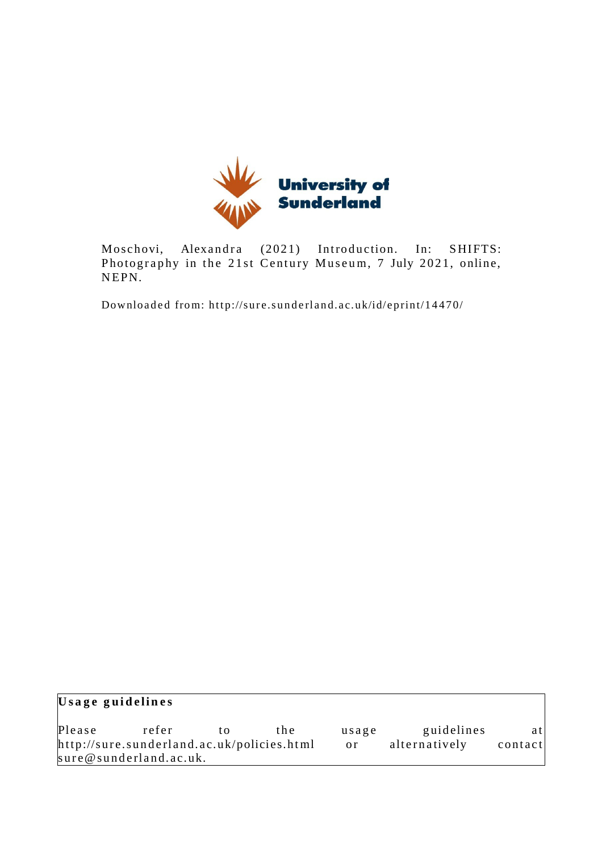

Moschovi, Alexandra (2021) Introduction. In: SHIFTS: Photography in the 21st Century Museum, 7 July 2021, online, NEPN.

Downloaded from: http://sure.sunderland.ac.uk/id/eprint/14470/

| Usage guidelines                           |                        |    |       |               |               |         |
|--------------------------------------------|------------------------|----|-------|---------------|---------------|---------|
| Please                                     | refer                  | tΩ | t h e | usage         | guidelines    | atl     |
| http://sure.sunderland.ac.uk/policies.html |                        |    |       | <sub>or</sub> | alternatively | contact |
|                                            | sure@sunderland.ac.uk. |    |       |               |               |         |